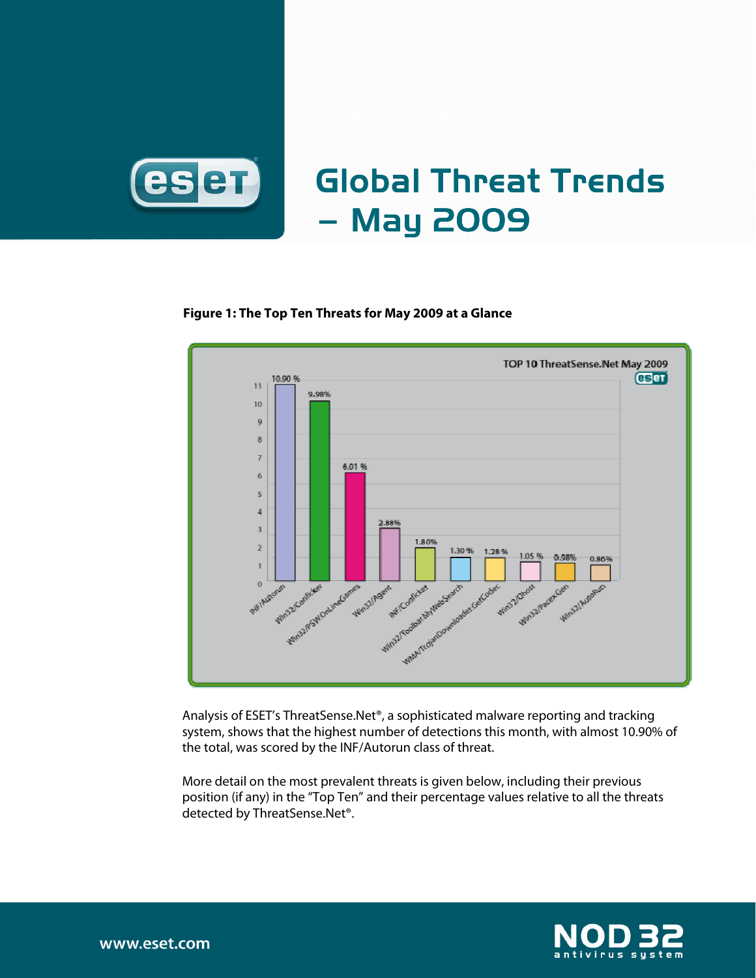

# Global Threat Trends –May2009

#### **Figure 1: The Top Ten Threats for May 2009 at a Glance**



Analysis of ESET's ThreatSense.Net®, a sophisticated malware reporting and tracking system, shows that the highest number of detections this month, with almost 10.90% of the total, was scored by the INF/Autorun class of threat.

More detail on the most prevalent threats is given below, including their previous position (if any) in the "Top Ten" and their percentage values relative to all the threats detected by ThreatSense.Net®.

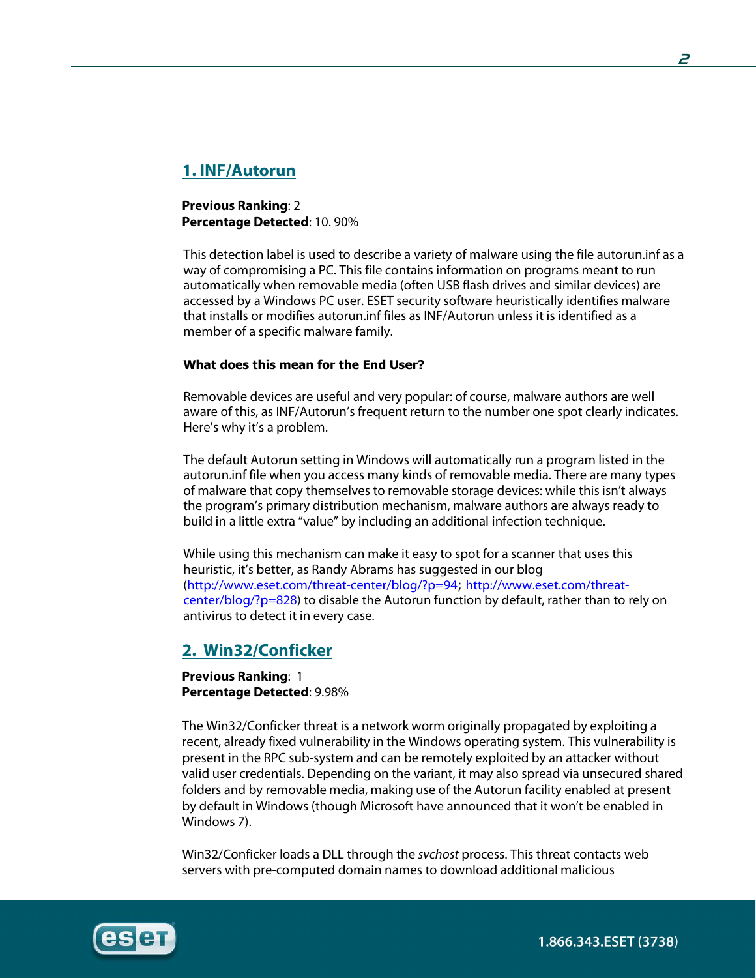# **1. INF/Autorun**

**Previous Ranking**: 2 **Percentage Detected**: 10. 90%

This detection label is used to describe a variety of malware using the file autorun.inf as a way of compromising a PC. This file contains information on programs meant to run automatically when removable media (often USB flash drives and similar devices) are accessed by a Windows PC user. ESET security software heuristically identifies malware that installs or modifies autorun.inf files as INF/Autorun unless it is identified as a member of a specific malware family.

#### What does this mean for the End User?

Removable devices are useful and very popular: of course, malware authors are well aware of this, as INF/Autorun's frequent return to the number one spot clearly indicates. Here's why it's a problem.

The default Autorun setting in Windows will automatically run a program listed in the autorun.inf file when you access many kinds of removable media. There are many types of malware that copy themselves to removable storage devices: while this isn't always the program's primary distribution mechanism, malware authors are always ready to build in a little extra "value" by including an additional infection technique.

While using this mechanism can make it easy to spot for a scanner that uses this heuristic, it's better, as Randy Abrams has suggested in our blog (http://www.eset.com/threat-center/blog/?p=94; http://www.eset.com/threatcenter/blog/?p=828) to disable the Autorun function by default, rather than to rely on antivirus to detect it in every case.

# **2. Win32/Conficker**

**Previous Ranking**: 1 **Percentage Detected**: 9.98%

The Win32/Conficker threat is a network worm originally propagated by exploiting a recent, already fixed vulnerability in the Windows operating system. This vulnerability is present in the RPC sub-system and can be remotely exploited by an attacker without valid user credentials. Depending on the variant, it may also spread via unsecured shared folders and by removable media, making use of the Autorun facility enabled at present by default in Windows (though Microsoft have announced that it won't be enabled in Windows 7).

Win32/Conficker loads a DLL through the svchost process. This threat contacts web servers with pre-computed domain names to download additional malicious

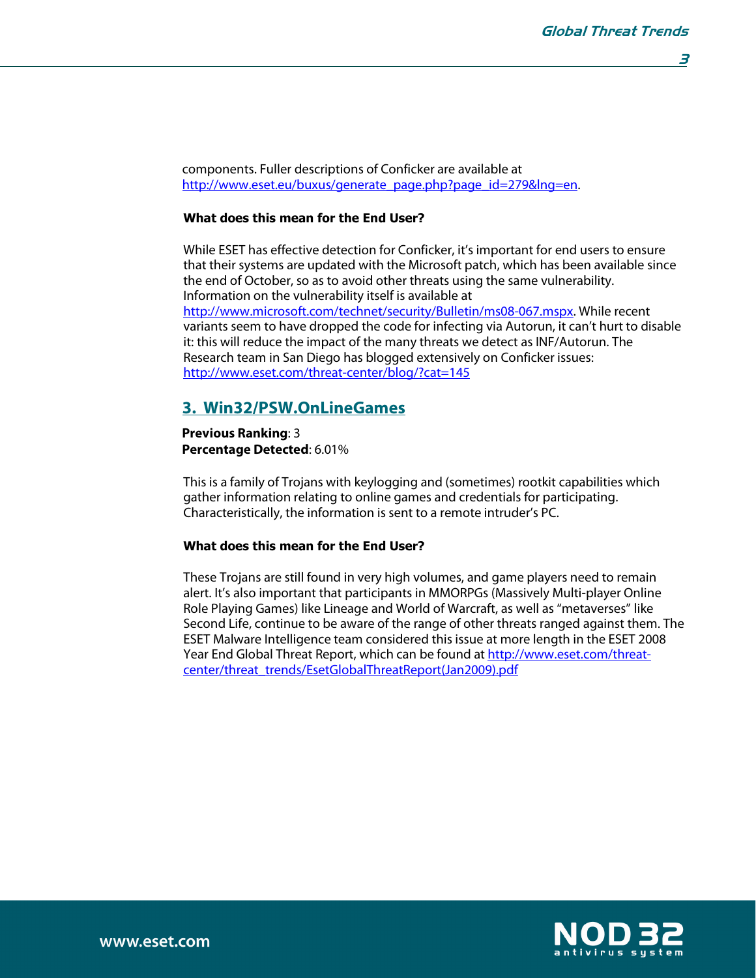components. Fuller descriptions of Conficker are available at http://www.eset.eu/buxus/generate\_page.php?page\_id=279&lng=en.

#### What does this mean for the End User?

While ESET has effective detection for Conficker, it's important for end users to ensure that their systems are updated with the Microsoft patch, which has been available since the end of October, so as to avoid other threats using the same vulnerability. Information on the vulnerability itself is available at http://www.microsoft.com/technet/security/Bulletin/ms08-067.mspx. While recent variants seem to have dropped the code for infecting via Autorun, it can't hurt to disable it: this will reduce the impact of the many threats we detect as INF/Autorun. The Research team in San Diego has blogged extensively on Conficker issues: http://www.eset.com/threat-center/blog/?cat=145

# **3. Win32/PSW.OnLineGames**

**Previous Ranking**: 3 **Percentage Detected**: 6.01%

This is a family of Trojans with keylogging and (sometimes) rootkit capabilities which gather information relating to online games and credentials for participating. Characteristically, the information is sent to a remote intruder's PC.

#### What does this mean for the End User?

These Trojans are still found in very high volumes, and game players need to remain alert. It's also important that participants in MMORPGs (Massively Multi-player Online Role Playing Games) like Lineage and World of Warcraft, as well as "metaverses" like Second Life, continue to be aware of the range of other threats ranged against them. The ESET Malware Intelligence team considered this issue at more length in the ESET 2008 Year End Global Threat Report, which can be found at http://www.eset.com/threatcenter/threat\_trends/EsetGlobalThreatReport(Jan2009).pdf

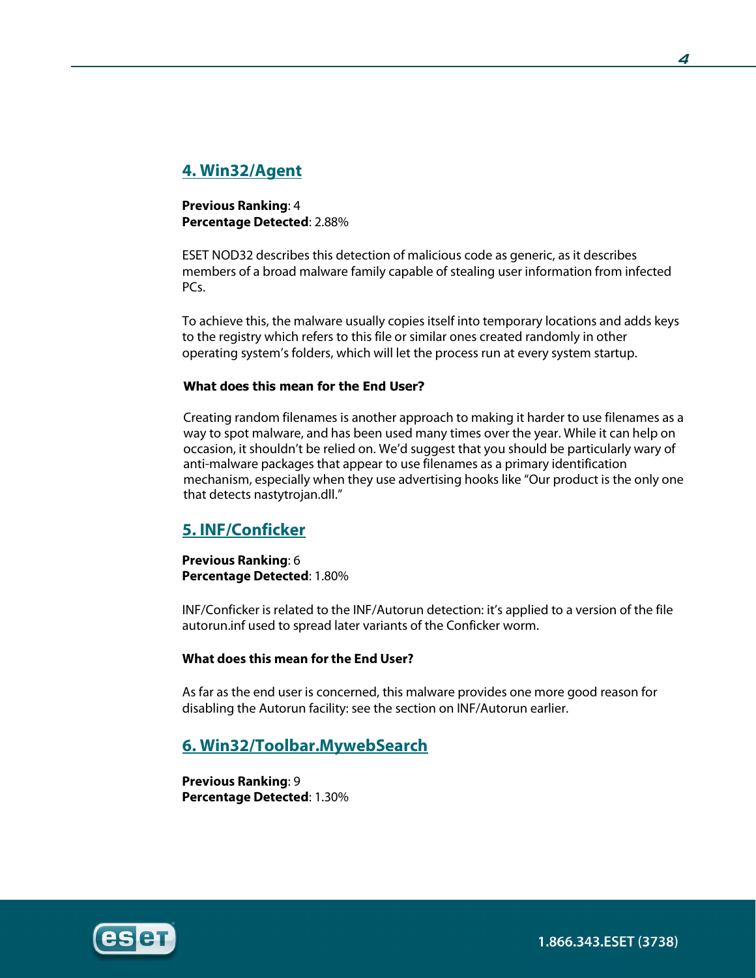# **4. Win32/Agent**

**Previous Ranking**: 4 **Percentage Detected**: 2.88%

ESET NOD32 describes this detection of malicious code as generic, as it describes members of a broad malware family capable of stealing user information from infected PC<sub>s</sub>.

To achieve this, the malware usually copies itself into temporary locations and adds keys to the registry which refers to this file or similar ones created randomly in other operating system's folders, which will let the process run at every system startup.

#### What does this mean for the End User?

Creating random filenames is another approach to making it harder to use filenames as a way to spot malware, and has been used many times over the year. While it can help on occasion, it shouldn't be relied on. We'd suggest that you should be particularly wary of anti-malware packages that appear to use filenames as a primary identification mechanism, especially when they use advertising hooks like "Our product is the only one that detects nastytrojan.dll."

# **5. INF/Conficker**

**Previous Ranking**: 6 **Percentage Detected**: 1.80%

INF/Conficker is related to the INF/Autorun detection: it's applied to a version of the file autorun.inf used to spread later variants of the Conficker worm.

#### **What does this mean for the End User?**

As far as the end user is concerned, this malware provides one more good reason for disabling the Autorun facility: see the section on INF/Autorun earlier.

# **6. Win32/Toolbar.MywebSearch**

**Previous Ranking**: 9 **Percentage Detected**: 1.30%



**4**

1.866.343.ESET (3738)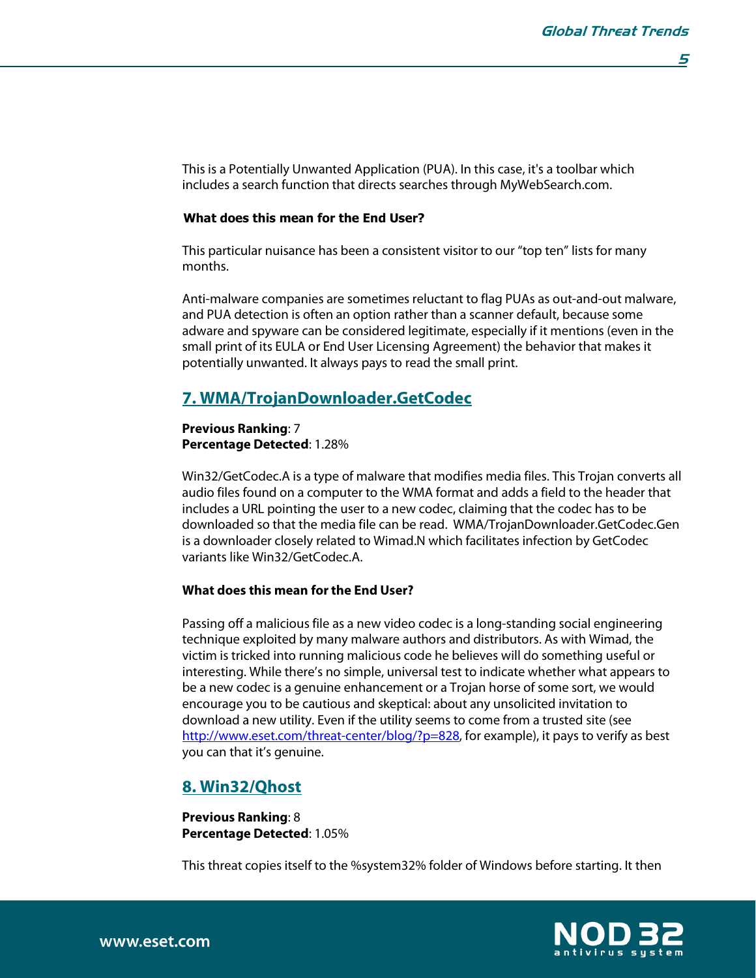**5** 

This is a Potentially Unwanted Application (PUA). In this case, it's a toolbar which includes a search function that directs searches through MyWebSearch.com.

#### What does this mean for the End User?

This particular nuisance has been a consistent visitor to our "top ten" lists for many months.

Anti-malware companies are sometimes reluctant to flag PUAs as out-and-out malware, and PUA detection is often an option rather than a scanner default, because some adware and spyware can be considered legitimate, especially if it mentions (even in the small print of its EULA or End User Licensing Agreement) the behavior that makes it potentially unwanted. It always pays to read the small print.

## **7. WMA/TrojanDownloader.GetCodec**

#### **Previous Ranking**: 7 **Percentage Detected**: 1.28%

Win32/GetCodec.A is a type of malware that modifies media files. This Trojan converts all audio files found on a computer to the WMA format and adds a field to the header that includes a URL pointing the user to a new codec, claiming that the codec has to be downloaded so that the media file can be read. WMA/TrojanDownloader.GetCodec.Gen is a downloader closely related to Wimad.N which facilitates infection by GetCodec variants like Win32/GetCodec.A.

#### **What does this mean for the End User?**

Passing off a malicious file as a new video codec is a long-standing social engineering technique exploited by many malware authors and distributors. As with Wimad, the victim is tricked into running malicious code he believes will do something useful or interesting. While there's no simple, universal test to indicate whether what appears to be a new codec is a genuine enhancement or a Trojan horse of some sort, we would encourage you to be cautious and skeptical: about any unsolicited invitation to download a new utility. Even if the utility seems to come from a trusted site (see http://www.eset.com/threat-center/blog/?p=828, for example), it pays to verify as best you can that it's genuine.

## **8. Win32/Qhost**

**Previous Ranking**: 8 **Percentage Detected**: 1.05%

This threat copies itself to the %system32% folder of Windows before starting. It then

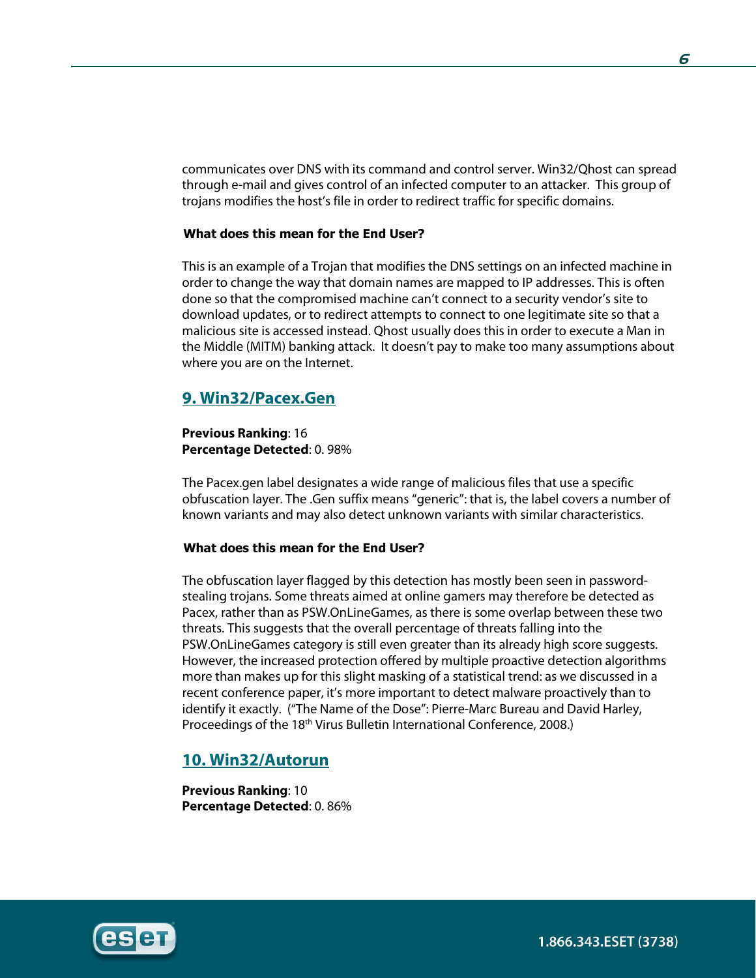communicates over DNS with its command and control server. Win32/Qhost can spread through e-mail and gives control of an infected computer to an attacker. This group of trojans modifies the host's file in order to redirect traffic for specific domains.

#### What does this mean for the End User?

This is an example of a Trojan that modifies the DNS settings on an infected machine in order to change the way that domain names are mapped to IP addresses. This is often done so that the compromised machine can't connect to a security vendor's site to download updates, or to redirect attempts to connect to one legitimate site so that a malicious site is accessed instead. Qhost usually does this in order to execute a Man in the Middle (MITM) banking attack. It doesn't pay to make too many assumptions about where you are on the Internet.

## **9. Win32/Pacex.Gen**

#### **Previous Ranking**: 16 **Percentage Detected**: 0. 98%

The Pacex.gen label designates a wide range of malicious files that use a specific obfuscation layer. The .Gen suffix means "generic": that is, the label covers a number of known variants and may also detect unknown variants with similar characteristics.

#### What does this mean for the End User?

The obfuscation layer flagged by this detection has mostly been seen in passwordstealing trojans. Some threats aimed at online gamers may therefore be detected as Pacex, rather than as PSW.OnLineGames, as there is some overlap between these two threats. This suggests that the overall percentage of threats falling into the PSW.OnLineGames category is still even greater than its already high score suggests. However, the increased protection offered by multiple proactive detection algorithms more than makes up for this slight masking of a statistical trend: as we discussed in a recent conference paper, it's more important to detect malware proactively than to identify it exactly. ("The Name of the Dose": Pierre-Marc Bureau and David Harley, Proceedings of the 18<sup>th</sup> Virus Bulletin International Conference, 2008.)

## **10. Win32/Autorun**

**Previous Ranking**: 10 **Percentage Detected**: 0. 86%

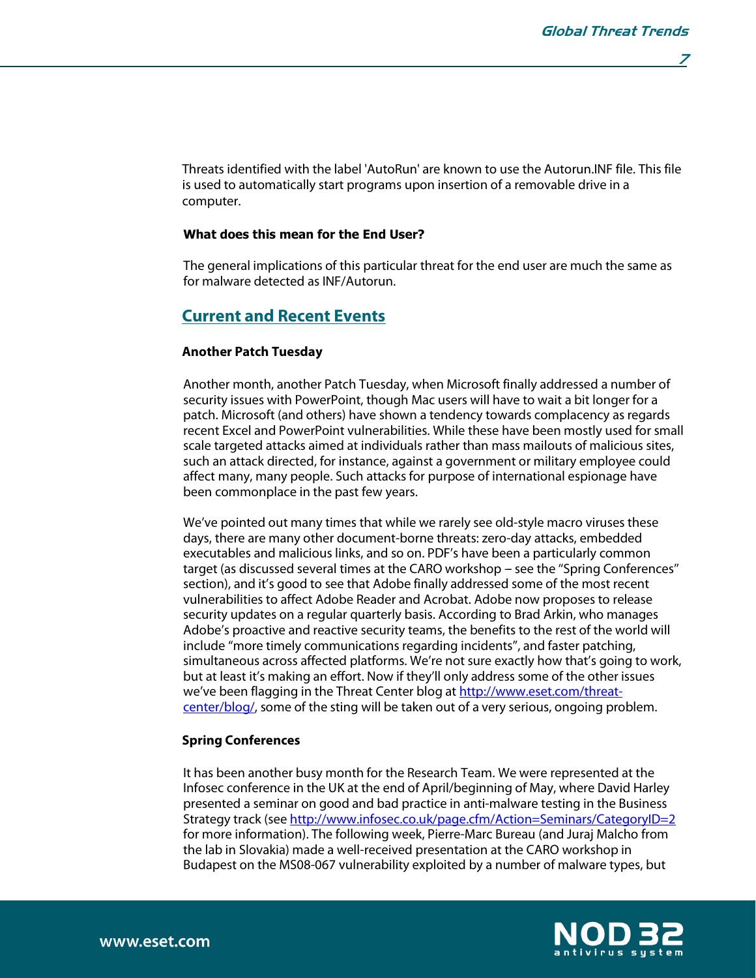**7** 

Threats identified with the label 'AutoRun' are known to use the Autorun.INF file. This file is used to automatically start programs upon insertion of a removable drive in a computer.

#### What does this mean for the End User?

The general implications of this particular threat for the end user are much the same as for malware detected as INF/Autorun.

## **Current and Recent Events**

#### **Another Patch Tuesday**

Another month, another Patch Tuesday, when Microsoft finally addressed a number of security issues with PowerPoint, though Mac users will have to wait a bit longer for a patch. Microsoft (and others) have shown a tendency towards complacency as regards recent Excel and PowerPoint vulnerabilities. While these have been mostly used for small scale targeted attacks aimed at individuals rather than mass mailouts of malicious sites, such an attack directed, for instance, against a government or military employee could affect many, many people. Such attacks for purpose of international espionage have been commonplace in the past few years.

We've pointed out many times that while we rarely see old-style macro viruses these days, there are many other document-borne threats: zero-day attacks, embedded executables and malicious links, and so on. PDF's have been a particularly common target (as discussed several times at the CARO workshop – see the "Spring Conferences" section), and it's good to see that Adobe finally addressed some of the most recent vulnerabilities to affect Adobe Reader and Acrobat. Adobe now proposes to release security updates on a regular quarterly basis. According to Brad Arkin, who manages Adobe's proactive and reactive security teams, the benefits to the rest of the world will include ''more timely communications regarding incidents'', and faster patching, simultaneous across affected platforms. We're not sure exactly how that's going to work, but at least it's making an effort. Now if they'll only address some of the other issues we've been flagging in the Threat Center blog at http://www.eset.com/threatcenter/blog/, some of the sting will be taken out of a very serious, ongoing problem.

#### **Spring Conferences**

It has been another busy month for the Research Team. We were represented at the Infosec conference in the UK at the end of April/beginning of May, where David Harley presented a seminar on good and bad practice in anti-malware testing in the Business Strategy track (see http://www.infosec.co.uk/page.cfm/Action=Seminars/CategoryID=2 for more information). The following week, Pierre-Marc Bureau (and Juraj Malcho from the lab in Slovakia) made a well-received presentation at the CARO workshop in Budapest on the MS08-067 vulnerability exploited by a number of malware types, but

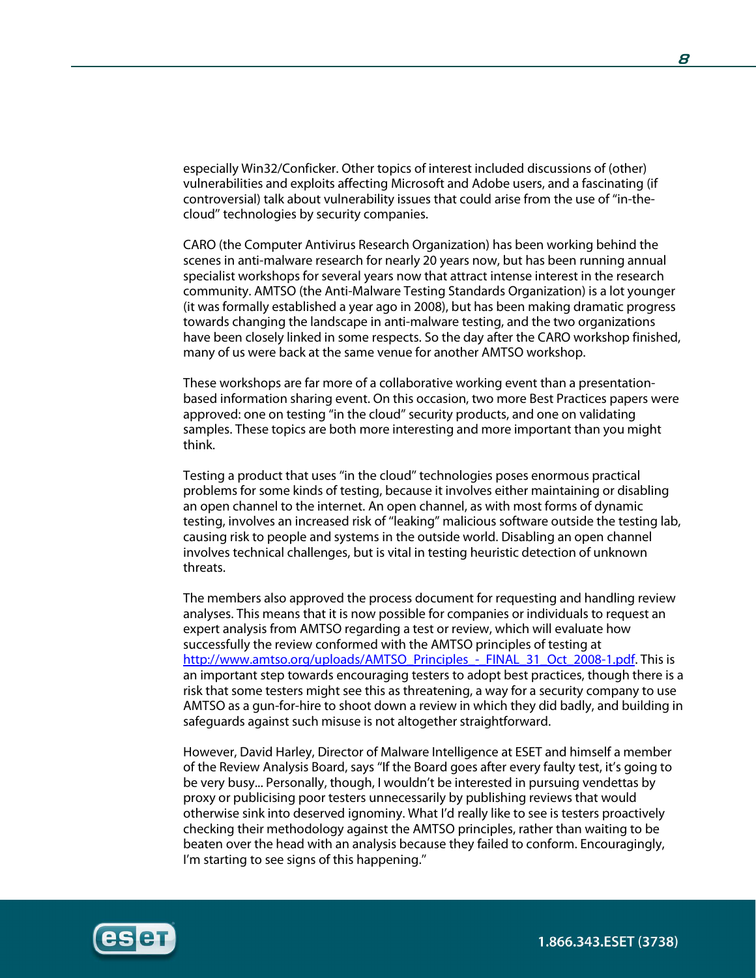especially Win32/Conficker. Other topics of interest included discussions of (other) vulnerabilities and exploits affecting Microsoft and Adobe users, and a fascinating (if controversial) talk about vulnerability issues that could arise from the use of ''in-thecloud'' technologies by security companies.

CARO (the Computer Antivirus Research Organization) has been working behind the scenes in anti-malware research for nearly 20 years now, but has been running annual specialist workshops for several years now that attract intense interest in the research community. AMTSO (the Anti-Malware Testing Standards Organization) is a lot younger (it was formally established a year ago in 2008), but has been making dramatic progress towards changing the landscape in anti-malware testing, and the two organizations have been closely linked in some respects. So the day after the CARO workshop finished, many of us were back at the same venue for another AMTSO workshop.

These workshops are far more of a collaborative working event than a presentationbased information sharing event. On this occasion, two more Best Practices papers were approved: one on testing ''in the cloud'' security products, and one on validating samples. These topics are both more interesting and more important than you might think.

Testing a product that uses ''in the cloud'' technologies poses enormous practical problems for some kinds of testing, because it involves either maintaining or disabling an open channel to the internet. An open channel, as with most forms of dynamic testing, involves an increased risk of ''leaking'' malicious software outside the testing lab, causing risk to people and systems in the outside world. Disabling an open channel involves technical challenges, but is vital in testing heuristic detection of unknown threats.

The members also approved the process document for requesting and handling review analyses. This means that it is now possible for companies or individuals to request an expert analysis from AMTSO regarding a test or review, which will evaluate how successfully the review conformed with the AMTSO principles of testing at http://www.amtso.org/uploads/AMTSO\_Principles - FINAL\_31\_Oct\_2008-1.pdf. This is an important step towards encouraging testers to adopt best practices, though there is a risk that some testers might see this as threatening, a way for a security company to use AMTSO as a gun-for-hire to shoot down a review in which they did badly, and building in safeguards against such misuse is not altogether straightforward.

However, David Harley, Director of Malware Intelligence at ESET and himself a member of the Review Analysis Board, says ''If the Board goes after every faulty test, it's going to be very busy... Personally, though, I wouldn't be interested in pursuing vendettas by proxy or publicising poor testers unnecessarily by publishing reviews that would otherwise sink into deserved ignominy. What I'd really like to see is testers proactively checking their methodology against the AMTSO principles, rather than waiting to be beaten over the head with an analysis because they failed to conform. Encouragingly, I'm starting to see signs of this happening.''